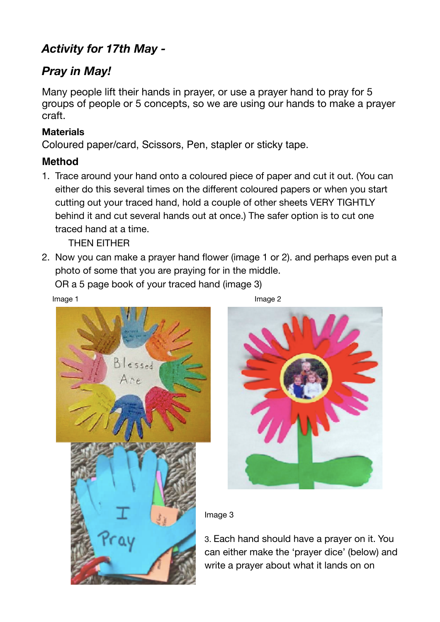## *Activity for 17th May -*

## *Pray in May!*

Many people lift their hands in prayer, or use a prayer hand to pray for 5 groups of people or 5 concepts, so we are using our hands to make a prayer craft.

## **Materials**

Coloured paper/card, Scissors, Pen, stapler or sticky tape.

## **Method**

1. Trace around your hand onto a coloured piece of paper and cut it out. (You can either do this several times on the different coloured papers or when you start cutting out your traced hand, hold a couple of other sheets VERY TIGHTLY behind it and cut several hands out at once.) The safer option is to cut one traced hand at a time.

THEN EITHER

2. Now you can make a prayer hand flower (image 1 or 2). and perhaps even put a photo of some that you are praying for in the middle.

OR a 5 page book of your traced hand (image 3)

Image 1 and the state of the state of the state of the state of the state of the state of the state of the state of the state of the state of the state of the state of the state of the state of the state of the state of th





Image 3

3. Each hand should have a prayer on it. You can either make the 'prayer dice' (below) and write a prayer about what it lands on on